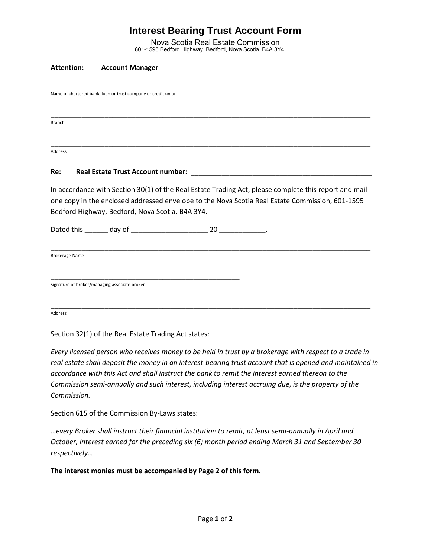# **Interest Bearing Trust Account Form**

Nova Scotia Real Estate Commission 601-1595 Bedford Highway, Bedford, Nova Scotia, B4A 3Y4

\_\_\_\_\_\_\_\_\_\_\_\_\_\_\_\_\_\_\_\_\_\_\_\_\_\_\_\_\_\_\_\_\_\_\_\_\_\_\_\_\_\_\_\_\_\_\_\_\_\_\_\_\_\_\_\_\_\_\_\_\_\_\_\_\_\_\_\_\_\_\_\_\_\_\_\_\_\_\_\_\_\_\_

\_\_\_\_\_\_\_\_\_\_\_\_\_\_\_\_\_\_\_\_\_\_\_\_\_\_\_\_\_\_\_\_\_\_\_\_\_\_\_\_\_\_\_\_\_\_\_\_\_\_\_\_\_\_\_\_\_\_\_\_\_\_\_\_\_\_\_\_\_\_\_\_\_\_\_\_\_\_\_\_\_\_\_

### **Attention: Account Manager**

Name of chartered bank, loan or trust company or credit union

Branch

\_\_\_\_\_\_\_\_\_\_\_\_\_\_\_\_\_\_\_\_\_\_\_\_\_\_\_\_\_\_\_\_\_\_\_\_\_\_\_\_\_\_\_\_\_\_\_\_\_\_\_\_\_\_\_\_\_\_\_\_\_\_\_\_\_\_\_\_\_\_\_\_\_\_\_\_\_\_\_\_\_\_\_ Address

#### Re: Real Estate Trust Account number:

In accordance with Section 30(1) of the Real Estate Trading Act, please complete this report and mail one copy in the enclosed addressed envelope to the Nova Scotia Real Estate Commission, 601-1595 Bedford Highway, Bedford, Nova Scotia, B4A 3Y4.

\_\_\_\_\_\_\_\_\_\_\_\_\_\_\_\_\_\_\_\_\_\_\_\_\_\_\_\_\_\_\_\_\_\_\_\_\_\_\_\_\_\_\_\_\_\_\_\_\_\_\_\_\_\_\_\_\_\_\_\_\_\_\_\_\_\_\_\_\_\_\_\_\_\_\_\_\_\_\_\_\_\_\_

\_\_\_\_\_\_\_\_\_\_\_\_\_\_\_\_\_\_\_\_\_\_\_\_\_\_\_\_\_\_\_\_\_\_\_\_\_\_\_\_\_\_\_\_\_\_\_\_\_\_\_\_\_\_\_\_\_\_\_\_\_\_\_\_\_\_\_\_\_\_\_\_\_\_\_\_\_\_\_\_\_\_\_

Dated this \_\_\_\_\_\_ day of \_\_\_\_\_\_\_\_\_\_\_\_\_\_\_\_\_\_\_\_ 20 \_\_\_\_\_\_\_\_\_\_\_\_.

\_\_\_\_\_\_\_\_\_\_\_\_\_\_\_\_\_\_\_\_\_\_\_\_\_\_\_\_\_\_\_\_\_\_\_\_\_\_\_\_\_\_\_\_\_\_\_\_\_

Brokerage Name

Signature of broker/managing associate broker

Address

Section 32(1) of the Real Estate Trading Act states:

*Every licensed person who receives money to be held in trust by a brokerage with respect to a trade in real estate shall deposit the money in an interest-bearing trust account that is opened and maintained in accordance with this Act and shall instruct the bank to remit the interest earned thereon to the Commission semi-annually and such interest, including interest accruing due, is the property of the Commission.*

Section 615 of the Commission By-Laws states:

*…every Broker shall instruct their financial institution to remit, at least semi-annually in April and October, interest earned for the preceding six (6) month period ending March 31 and September 30 respectively…* 

**The interest monies must be accompanied by Page 2 of this form.**